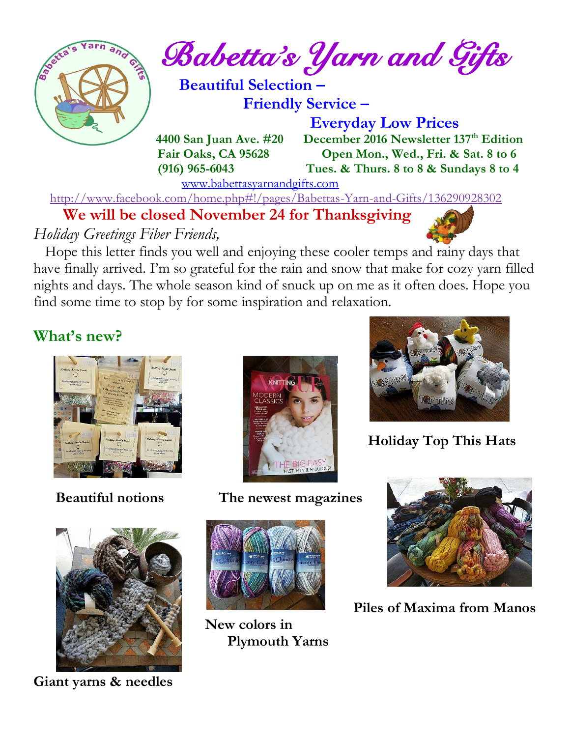

*Babetta's Yarn and Gifts* 

 **Beautiful Selection – Friendly Service –**

 **Everyday Low Prices 4400 San Juan Ave. #20 December 2016 Newsletter 137<sup>th</sup> Edition Fair Oaks, CA 95628 Open Mon., Wed., Fri. & Sat. 8 to 6 (916) 965-6043 Tues. & Thurs. 8 to 8 & Sundays 8 to 4** 

[www.babettasyarnandgifts.com](http://www.babettasyarnandgifts.com/)

<http://www.facebook.com/home.php#!/pages/Babettas-Yarn-and-Gifts/136290928302>

 **We will be closed November 24 for Thanksgiving**

*Holiday Greetings Fiber Friends,*

 Hope this letter finds you well and enjoying these cooler temps and rainy days that have finally arrived. I'm so grateful for the rain and snow that make for cozy yarn filled nights and days. The whole season kind of snuck up on me as it often does. Hope you find some time to stop by for some inspiration and relaxation.

# **What's new?**





**Giant yarns & needles**



 **Beautiful notions The newest magazines**



 **New colors in Plymouth Yarns**



 **Holiday Top This Hats**



 **Piles of Maxima from Manos**

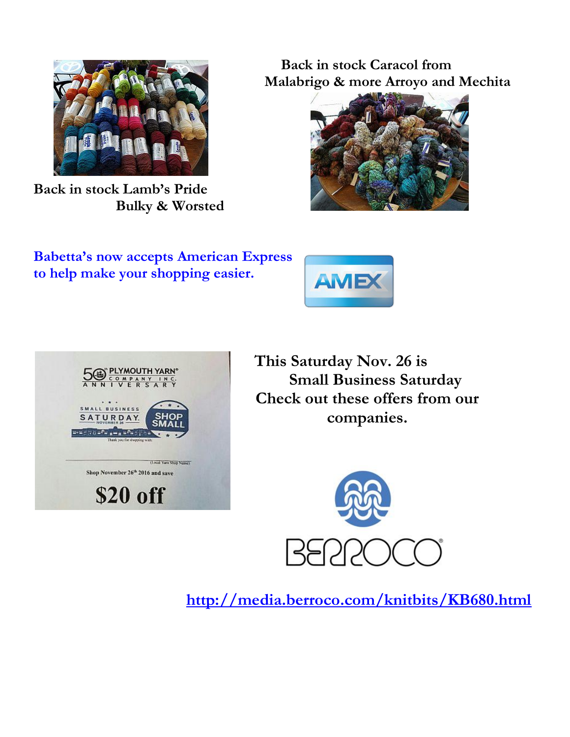

**Back in stock Lamb's Pride Bulky & Worsted**

 **Back in stock Caracol from Malabrigo & more Arroyo and Mechita**



**Babetta's now accepts American Express to help make your shopping easier.**





**This Saturday Nov. 26 is SOFRECT STATE AND STATE SMALL STATE SMALL BUSINESS Saturday Check out these offers from our EXAMPLE AND SHOP companies.** 



 **<http://media.berroco.com/knitbits/KB680.html>**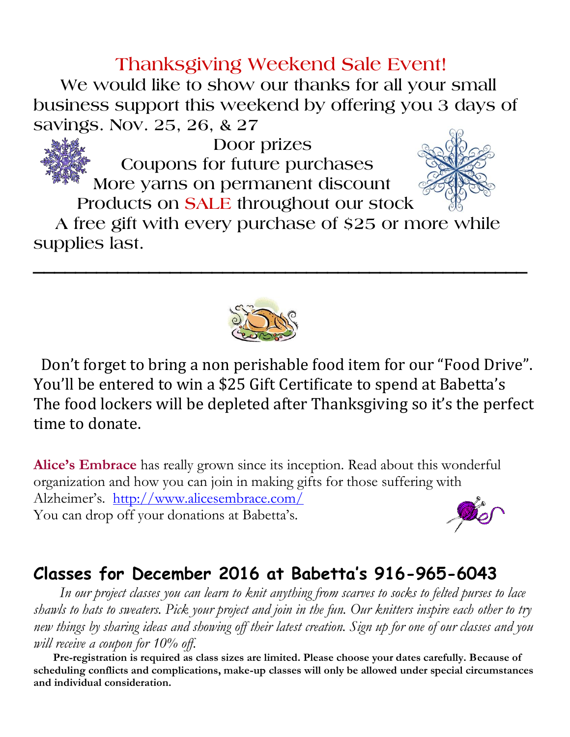# **Thanksgiving Weekend Sale Event!**

 **We would like to show our thanks for all your small business support this weekend by offering you 3 days of savings. Nov. 25, 26, & 27**



 **Products on SALE throughout our stock**

 **A free gift with every purchase of \$25 or more while supplies last.**

**\_\_\_\_\_\_\_\_\_\_\_\_\_\_\_\_\_\_\_\_\_\_\_\_\_\_\_\_\_\_\_\_\_\_\_\_\_\_\_\_\_\_\_\_\_\_\_**



 Don't forget to bring a non perishable food item for our "Food Drive". You'll be entered to win a \$25 Gift Certificate to spend at Babetta's The food lockers will be depleted after Thanksgiving so it's the perfect time to donate.

**Alice's Embrace** has really grown since its inception. Read about this wonderful organization and how you can join in making gifts for those suffering with Alzheimer's. <http://www.alicesembrace.com/> You can drop off your donations at Babetta's.

### **Classes for December 2016 at Babetta's 916-965-6043**

 *In our project classes you can learn to knit anything from scarves to socks to felted purses to lace shawls to hats to sweaters. Pick your project and join in the fun. Our knitters inspire each other to try new things by sharing ideas and showing off their latest creation. Sign up for one of our classes and you will receive a coupon for 10% off.*

 **Pre-registration is required as class sizes are limited. Please choose your dates carefully. Because of scheduling conflicts and complications, make-up classes will only be allowed under special circumstances and individual consideration.**